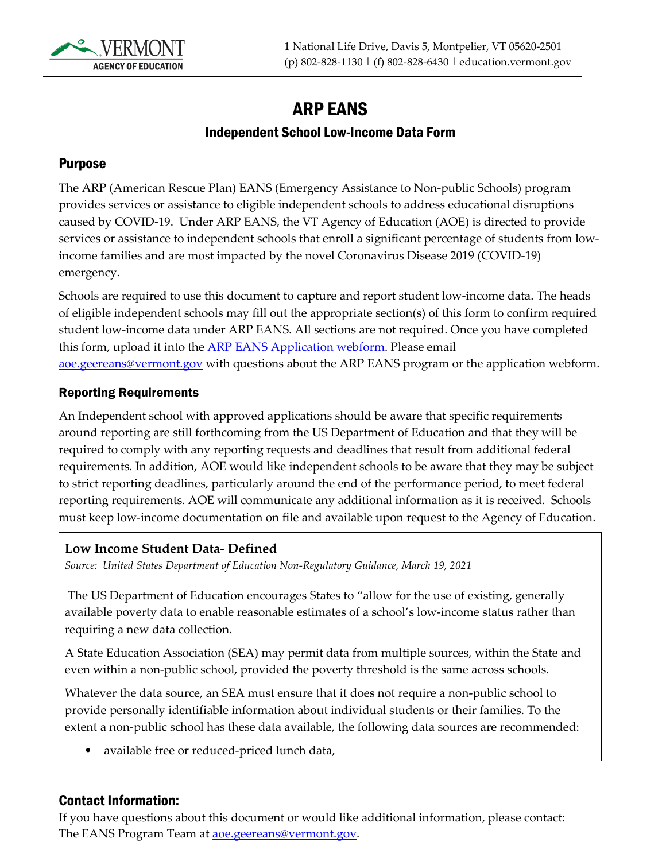

# ARP EANS Independent School Low-Income Data Form

#### Purpose

The ARP (American Rescue Plan) EANS (Emergency Assistance to Non-public Schools) program provides services or assistance to eligible independent schools to address educational disruptions caused by COVID-19. Under ARP EANS, the VT Agency of Education (AOE) is directed to provide services or assistance to independent schools that enroll a significant percentage of students from lowincome families and are most impacted by the novel Coronavirus Disease 2019 (COVID-19) emergency.

Schools are required to use this document to capture and report student low-income data. The heads of eligible independent schools may fill out the appropriate section(s) of this form to confirm required student low-income data under ARP EANS. All sections are not required. Once you have completed this form, upload it into the **ARP EANS** Application webform. Please email [aoe.geereans@vermont.gov](mailto:aoe.geereans@vermont.gov) with questions about the ARP EANS program or the application webform.

#### Reporting Requirements

An Independent school with approved applications should be aware that specific requirements around reporting are still forthcoming from the US Department of Education and that they will be required to comply with any reporting requests and deadlines that result from additional federal requirements. In addition, AOE would like independent schools to be aware that they may be subject to strict reporting deadlines, particularly around the end of the performance period, to meet federal reporting requirements. AOE will communicate any additional information as it is received. Schools must keep low-income documentation on file and available upon request to the Agency of Education.

#### **Low Income Student Data- Defined**

*Source: United States Department of Education Non-Regulatory Guidance, March 19, 2021*

The US Department of Education encourages States to "allow for the use of existing, generally available poverty data to enable reasonable estimates of a school's low-income status rather than requiring a new data collection.

A State Education Association (SEA) may permit data from multiple sources, within the State and even within a non-public school, provided the poverty threshold is the same across schools.

Whatever the data source, an SEA must ensure that it does not require a non-public school to provide personally identifiable information about individual students or their families. To the extent a non-public school has these data available, the following data sources are recommended:

• available free or reduced-priced lunch data,

#### Contact Information:

If you have questions about this document or would like additional information, please contact: The EANS Program Team at **aoe.geereans@vermont.gov**.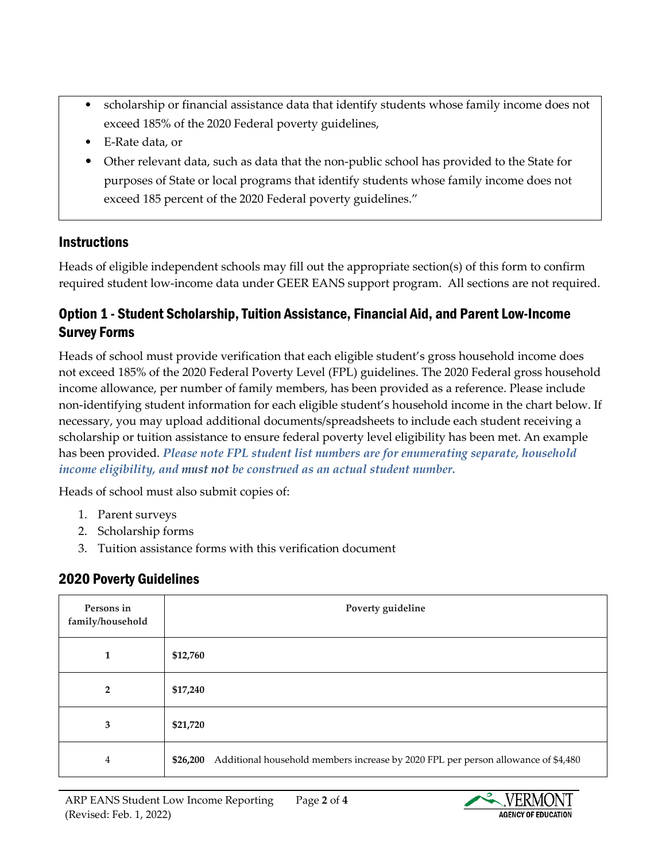- scholarship or financial assistance data that identify students whose family income does not exceed 185% of the 2020 Federal poverty guidelines,
- E-Rate data, or
- Other relevant data, such as data that the non-public school has provided to the State for purposes of State or local programs that identify students whose family income does not exceed 185 percent of the 2020 Federal poverty guidelines."

### **Instructions**

Heads of eligible independent schools may fill out the appropriate section(s) of this form to confirm required student low-income data under GEER EANS support program. All sections are not required.

## Option 1 - Student Scholarship, Tuition Assistance, Financial Aid, and Parent Low-Income Survey Forms

Heads of school must provide verification that each eligible student's gross household income does not exceed 185% of the 2020 Federal Poverty Level (FPL) guidelines. The 2020 Federal gross household income allowance, per number of family members, has been provided as a reference. Please include non-identifying student information for each eligible student's household income in the chart below. If necessary, you may upload additional documents/spreadsheets to include each student receiving a scholarship or tuition assistance to ensure federal poverty level eligibility has been met. An example has been provided. *Please note FPL student list numbers are for enumerating separate, household income eligibility, and must not be construed as an actual student number.* 

Heads of school must also submit copies of:

- 1. Parent surveys
- 2. Scholarship forms
- 3. Tuition assistance forms with this verification document

# 2020 Poverty Guidelines

| Persons in<br>family/household | Poverty guideline                                                                             |
|--------------------------------|-----------------------------------------------------------------------------------------------|
| 1                              | \$12,760                                                                                      |
| $\overline{2}$                 | \$17,240                                                                                      |
| 3                              | \$21,720                                                                                      |
| $\overline{4}$                 | Additional household members increase by 2020 FPL per person allowance of \$4,480<br>\$26,200 |

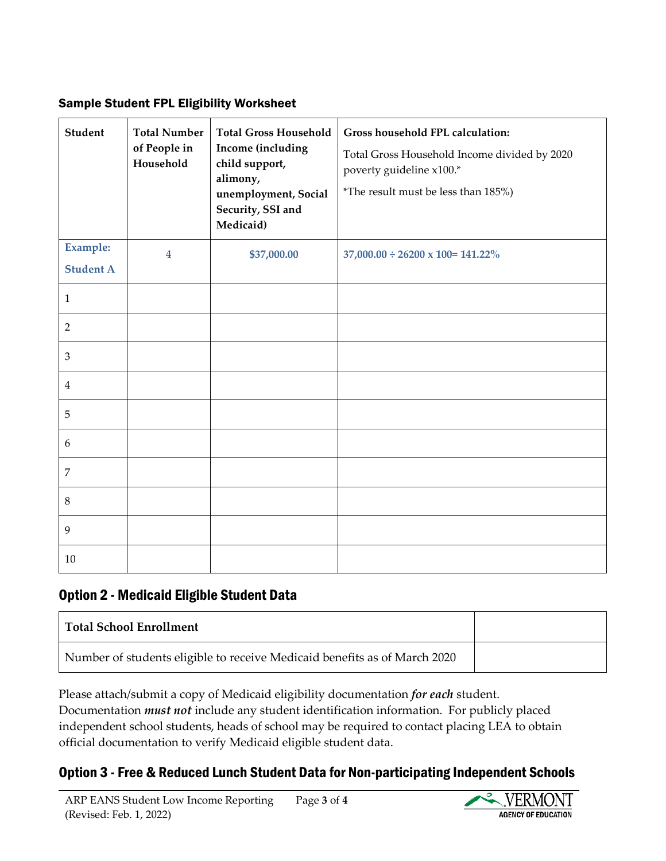#### Sample Student FPL Eligibility Worksheet

| Student                             | <b>Total Number</b><br>of People in<br>Household | <b>Total Gross Household</b><br>Income (including<br>child support,<br>alimony,<br>unemployment, Social<br>Security, SSI and<br>Medicaid) | Gross household FPL calculation:<br>Total Gross Household Income divided by 2020<br>poverty guideline x100.*<br>*The result must be less than 185%) |
|-------------------------------------|--------------------------------------------------|-------------------------------------------------------------------------------------------------------------------------------------------|-----------------------------------------------------------------------------------------------------------------------------------------------------|
| <b>Example:</b><br><b>Student A</b> | 4                                                | \$37,000.00                                                                                                                               | $37,000.00 \div 26200 \times 100 = 141.22\%$                                                                                                        |
| 1                                   |                                                  |                                                                                                                                           |                                                                                                                                                     |
| 2                                   |                                                  |                                                                                                                                           |                                                                                                                                                     |
| 3                                   |                                                  |                                                                                                                                           |                                                                                                                                                     |
| $\overline{4}$                      |                                                  |                                                                                                                                           |                                                                                                                                                     |
| 5                                   |                                                  |                                                                                                                                           |                                                                                                                                                     |
| 6                                   |                                                  |                                                                                                                                           |                                                                                                                                                     |
| 7                                   |                                                  |                                                                                                                                           |                                                                                                                                                     |
| 8                                   |                                                  |                                                                                                                                           |                                                                                                                                                     |
| 9                                   |                                                  |                                                                                                                                           |                                                                                                                                                     |
| 10                                  |                                                  |                                                                                                                                           |                                                                                                                                                     |

### Option 2 - Medicaid Eligible Student Data

| <b>Total School Enrollment</b>                                            |  |
|---------------------------------------------------------------------------|--|
| Number of students eligible to receive Medicaid benefits as of March 2020 |  |

Please attach/submit a copy of Medicaid eligibility documentation *for each* student. Documentation *must not* include any student identification information. For publicly placed independent school students, heads of school may be required to contact placing LEA to obtain official documentation to verify Medicaid eligible student data.

#### Option 3 - Free & Reduced Lunch Student Data for Non-participating Independent Schools